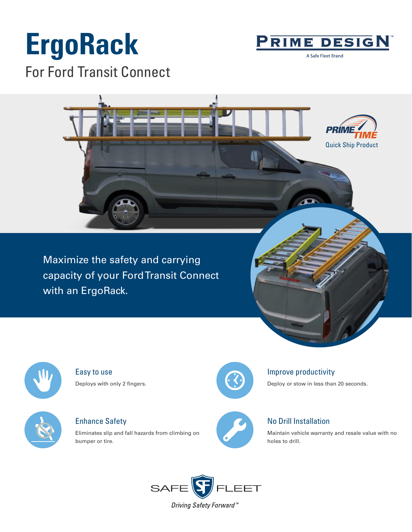# **ErgoRack** For Ford Transit Connect



A Safe Fleet Brand



Maximize the safety and carrying capacity of your Ford Transit Connect with an ErgoRack.



Easy to use Deploys with only 2 fingers.



Enhance Safety

Eliminates slip and fall hazards from climbing on bumper or tire.



## Improve productivity

Deploy or stow in less than 20 seconds.



## No Drill Installation

Maintain vehicle warranty and resale value with no holes to drill.